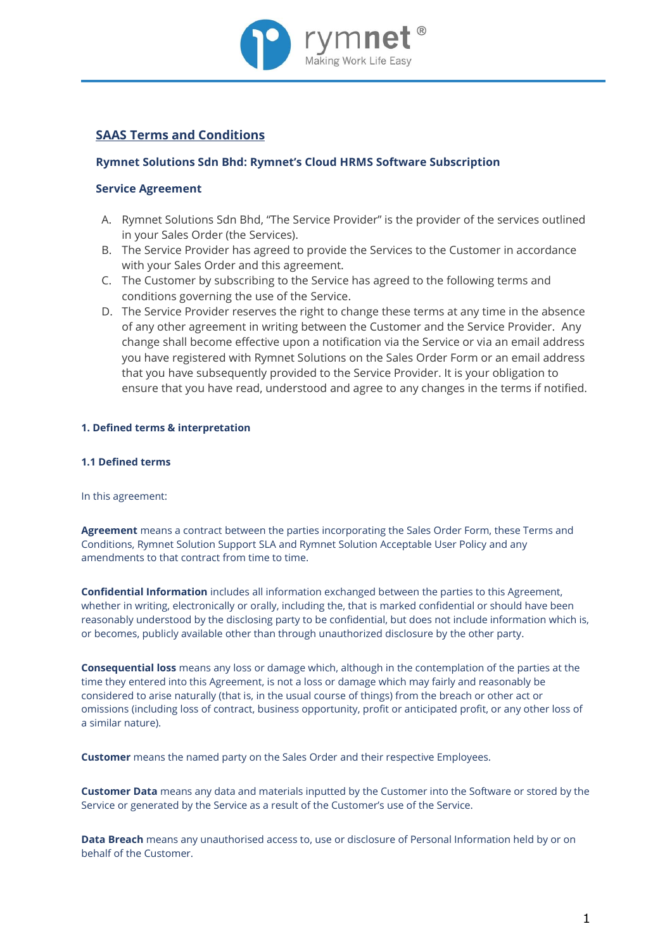

# **SAAS Terms and Conditions**

# **Rymnet Solutions Sdn Bhd: Rymnet's Cloud HRMS Software Subscription**

# **Service Agreement**

- A. Rymnet Solutions Sdn Bhd, "The Service Provider" is the provider of the services outlined in your Sales Order (the Services).
- B. The Service Provider has agreed to provide the Services to the Customer in accordance with your Sales Order and this agreement.
- C. The Customer by subscribing to the Service has agreed to the following terms and conditions governing the use of the Service.
- D. The Service Provider reserves the right to change these terms at any time in the absence of any other agreement in writing between the Customer and the Service Provider. Any change shall become effective upon a notification via the Service or via an email address you have registered with Rymnet Solutions on the Sales Order Form or an email address that you have subsequently provided to the Service Provider. It is your obligation to ensure that you have read, understood and agree to any changes in the terms if notified.

# **1. Defined terms & interpretation**

# **1.1 Defined terms**

In this agreement:

**Agreement** means a contract between the parties incorporating the Sales Order Form, these Terms and Conditions, Rymnet Solution Support SLA and Rymnet Solution Acceptable User Policy and any amendments to that contract from time to time.

**Confidential Information** includes all information exchanged between the parties to this Agreement, whether in writing, electronically or orally, including the, that is marked confidential or should have been reasonably understood by the disclosing party to be confidential, but does not include information which is, or becomes, publicly available other than through unauthorized disclosure by the other party.

**Consequential loss** means any loss or damage which, although in the contemplation of the parties at the time they entered into this Agreement, is not a loss or damage which may fairly and reasonably be considered to arise naturally (that is, in the usual course of things) from the breach or other act or omissions (including loss of contract, business opportunity, profit or anticipated profit, or any other loss of a similar nature).

**Customer** means the named party on the Sales Order and their respective Employees.

**Customer Data** means any data and materials inputted by the Customer into the Software or stored by the Service or generated by the Service as a result of the Customer's use of the Service.

**Data Breach** means any unauthorised access to, use or disclosure of Personal Information held by or on behalf of the Customer.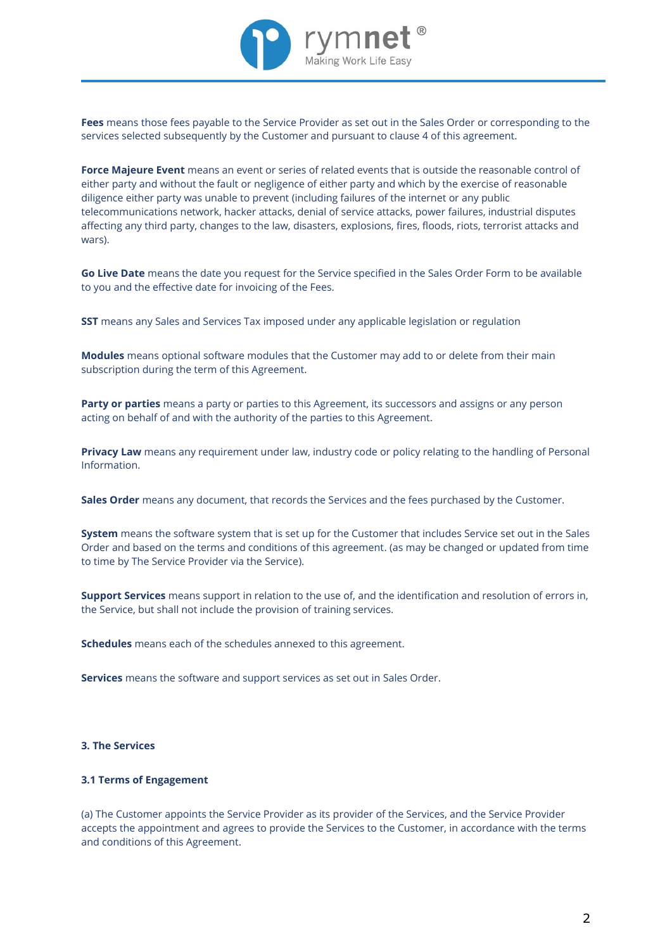

**Fees** means those fees payable to the Service Provider as set out in the Sales Order or corresponding to the services selected subsequently by the Customer and pursuant to clause 4 of this agreement.

**Force Majeure Event** means an event or series of related events that is outside the reasonable control of either party and without the fault or negligence of either party and which by the exercise of reasonable diligence either party was unable to prevent (including failures of the internet or any public telecommunications network, hacker attacks, denial of service attacks, power failures, industrial disputes affecting any third party, changes to the law, disasters, explosions, fires, floods, riots, terrorist attacks and wars).

**Go Live Date** means the date you request for the Service specified in the Sales Order Form to be available to you and the effective date for invoicing of the Fees.

**SST** means any Sales and Services Tax imposed under any applicable legislation or regulation

**Modules** means optional software modules that the Customer may add to or delete from their main subscription during the term of this Agreement.

**Party or parties** means a party or parties to this Agreement, its successors and assigns or any person acting on behalf of and with the authority of the parties to this Agreement.

**Privacy Law** means any requirement under law, industry code or policy relating to the handling of Personal Information.

**Sales Order** means any document, that records the Services and the fees purchased by the Customer.

**System** means the software system that is set up for the Customer that includes Service set out in the Sales Order and based on the terms and conditions of this agreement. (as may be changed or updated from time to time by The Service Provider via the Service).

**Support Services** means support in relation to the use of, and the identification and resolution of errors in, the Service, but shall not include the provision of training services.

**Schedules** means each of the schedules annexed to this agreement.

**Services** means the software and support services as set out in Sales Order.

# **3. The Services**

### **3.1 Terms of Engagement**

(a) The Customer appoints the Service Provider as its provider of the Services, and the Service Provider accepts the appointment and agrees to provide the Services to the Customer, in accordance with the terms and conditions of this Agreement.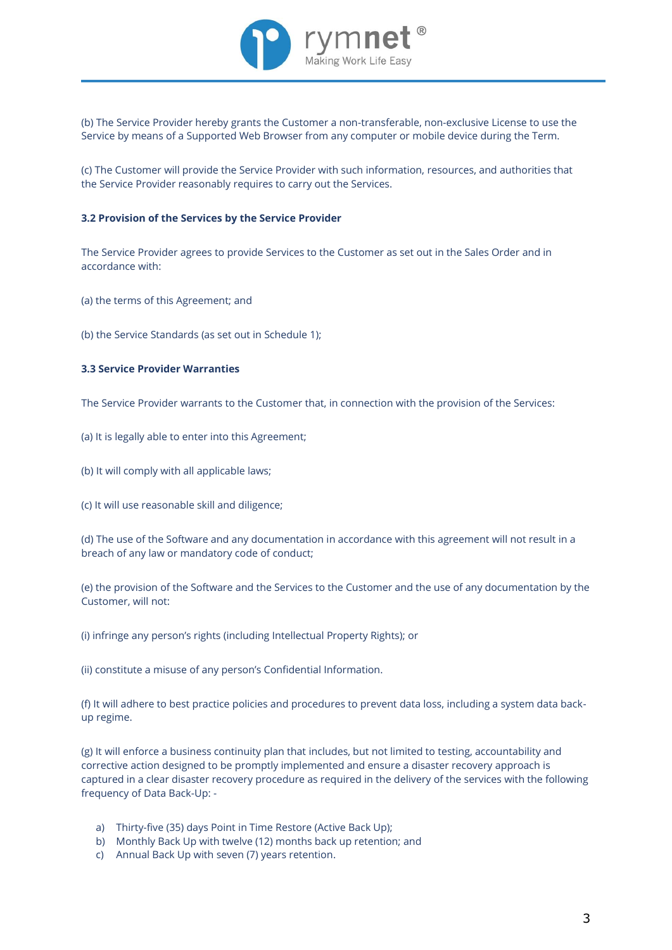

(b) The Service Provider hereby grants the Customer a non-transferable, non-exclusive License to use the Service by means of a Supported Web Browser from any computer or mobile device during the Term.

(c) The Customer will provide the Service Provider with such information, resources, and authorities that the Service Provider reasonably requires to carry out the Services.

### **3.2 Provision of the Services by the Service Provider**

The Service Provider agrees to provide Services to the Customer as set out in the Sales Order and in accordance with:

(a) the terms of this Agreement; and

(b) the Service Standards (as set out in Schedule 1);

# **3.3 Service Provider Warranties**

The Service Provider warrants to the Customer that, in connection with the provision of the Services:

- (a) It is legally able to enter into this Agreement;
- (b) It will comply with all applicable laws;
- (c) It will use reasonable skill and diligence;

(d) The use of the Software and any documentation in accordance with this agreement will not result in a breach of any law or mandatory code of conduct;

(e) the provision of the Software and the Services to the Customer and the use of any documentation by the Customer, will not:

(i) infringe any person's rights (including Intellectual Property Rights); or

(ii) constitute a misuse of any person's Confidential Information.

(f) It will adhere to best practice policies and procedures to prevent data loss, including a system data backup regime.

(g) It will enforce a business continuity plan that includes, but not limited to testing, accountability and corrective action designed to be promptly implemented and ensure a disaster recovery approach is captured in a clear disaster recovery procedure as required in the delivery of the services with the following frequency of Data Back-Up: -

- a) Thirty-five (35) days Point in Time Restore (Active Back Up);
- b) Monthly Back Up with twelve (12) months back up retention; and
- c) Annual Back Up with seven (7) years retention.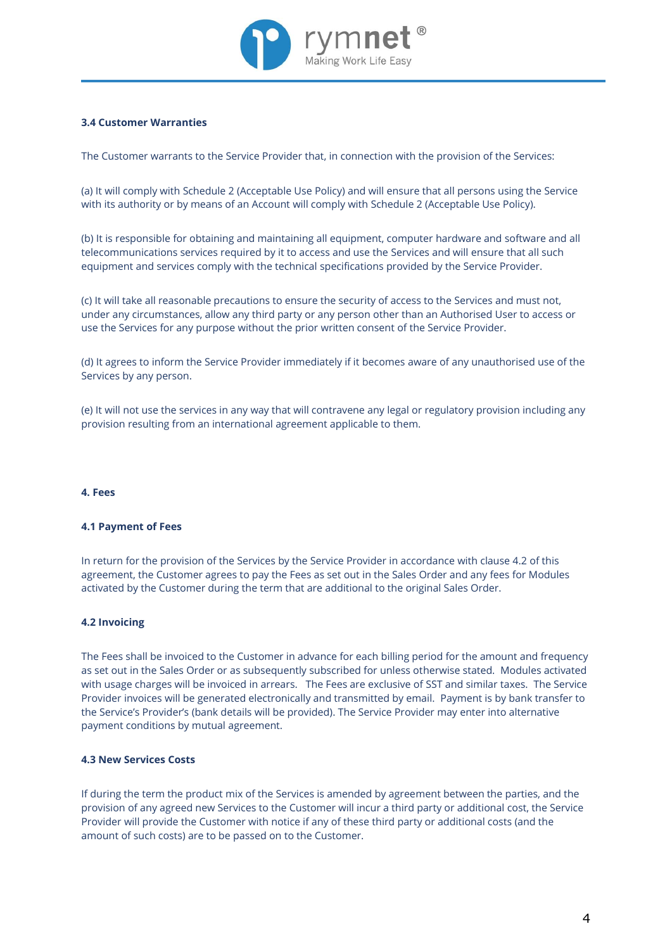

# **3.4 Customer Warranties**

The Customer warrants to the Service Provider that, in connection with the provision of the Services:

(a) It will comply with Schedule 2 (Acceptable Use Policy) and will ensure that all persons using the Service with its authority or by means of an Account will comply with Schedule 2 (Acceptable Use Policy).

(b) It is responsible for obtaining and maintaining all equipment, computer hardware and software and all telecommunications services required by it to access and use the Services and will ensure that all such equipment and services comply with the technical specifications provided by the Service Provider.

(c) It will take all reasonable precautions to ensure the security of access to the Services and must not, under any circumstances, allow any third party or any person other than an Authorised User to access or use the Services for any purpose without the prior written consent of the Service Provider.

(d) It agrees to inform the Service Provider immediately if it becomes aware of any unauthorised use of the Services by any person.

(e) It will not use the services in any way that will contravene any legal or regulatory provision including any provision resulting from an international agreement applicable to them.

### **4. Fees**

#### **4.1 Payment of Fees**

In return for the provision of the Services by the Service Provider in accordance with clause 4.2 of this agreement, the Customer agrees to pay the Fees as set out in the Sales Order and any fees for Modules activated by the Customer during the term that are additional to the original Sales Order.

### **4.2 Invoicing**

The Fees shall be invoiced to the Customer in advance for each billing period for the amount and frequency as set out in the Sales Order or as subsequently subscribed for unless otherwise stated. Modules activated with usage charges will be invoiced in arrears. The Fees are exclusive of SST and similar taxes. The Service Provider invoices will be generated electronically and transmitted by email. Payment is by bank transfer to the Service's Provider's (bank details will be provided). The Service Provider may enter into alternative payment conditions by mutual agreement.

# **4.3 New Services Costs**

If during the term the product mix of the Services is amended by agreement between the parties, and the provision of any agreed new Services to the Customer will incur a third party or additional cost, the Service Provider will provide the Customer with notice if any of these third party or additional costs (and the amount of such costs) are to be passed on to the Customer.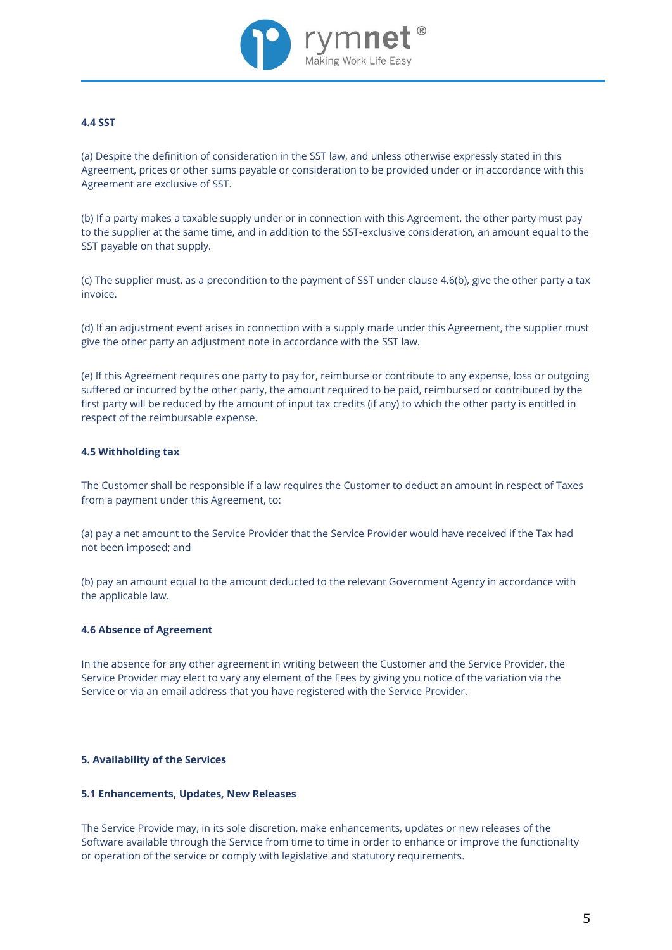

# **4.4 SST**

(a) Despite the definition of consideration in the SST law, and unless otherwise expressly stated in this Agreement, prices or other sums payable or consideration to be provided under or in accordance with this Agreement are exclusive of SST.

(b) If a party makes a taxable supply under or in connection with this Agreement, the other party must pay to the supplier at the same time, and in addition to the SST-exclusive consideration, an amount equal to the SST payable on that supply.

(c) The supplier must, as a precondition to the payment of SST under clause 4.6(b), give the other party a tax invoice.

(d) If an adjustment event arises in connection with a supply made under this Agreement, the supplier must give the other party an adjustment note in accordance with the SST law.

(e) If this Agreement requires one party to pay for, reimburse or contribute to any expense, loss or outgoing suffered or incurred by the other party, the amount required to be paid, reimbursed or contributed by the first party will be reduced by the amount of input tax credits (if any) to which the other party is entitled in respect of the reimbursable expense.

# **4.5 Withholding tax**

The Customer shall be responsible if a law requires the Customer to deduct an amount in respect of Taxes from a payment under this Agreement, to:

(a) pay a net amount to the Service Provider that the Service Provider would have received if the Tax had not been imposed; and

(b) pay an amount equal to the amount deducted to the relevant Government Agency in accordance with the applicable law.

# **4.6 Absence of Agreement**

In the absence for any other agreement in writing between the Customer and the Service Provider, the Service Provider may elect to vary any element of the Fees by giving you notice of the variation via the Service or via an email address that you have registered with the Service Provider.

# **5. Availability of the Services**

#### **5.1 Enhancements, Updates, New Releases**

The Service Provide may, in its sole discretion, make enhancements, updates or new releases of the Software available through the Service from time to time in order to enhance or improve the functionality or operation of the service or comply with legislative and statutory requirements.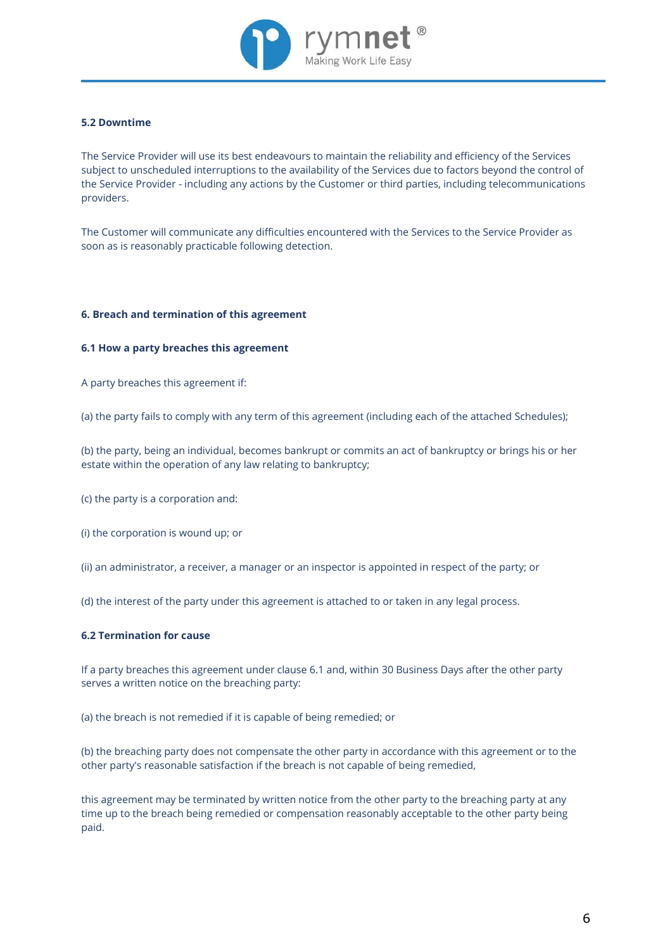

# **5.2 Downtime**

The Service Provider will use its best endeavours to maintain the reliability and efficiency of the Services subject to unscheduled interruptions to the availability of the Services due to factors beyond the control of the Service Provider - including any actions by the Customer or third parties, including telecommunications providers.

The Customer will communicate any difficulties encountered with the Services to the Service Provider as soon as is reasonably practicable following detection.

#### **6. Breach and termination of this agreement**

#### **6.1 How a party breaches this agreement**

A party breaches this agreement if:

(a) the party fails to comply with any term of this agreement (including each of the attached Schedules);

(b) the party, being an individual, becomes bankrupt or commits an act of bankruptcy or brings his or her estate within the operation of any law relating to bankruptcy;

(c) the party is a corporation and:

(i) the corporation is wound up; or

(ii) an administrator, a receiver, a manager or an inspector is appointed in respect of the party; or

(d) the interest of the party under this agreement is attached to or taken in any legal process.

# **6.2 Termination for cause**

If a party breaches this agreement under clause 6.1 and, within 30 Business Days after the other party serves a written notice on the breaching party:

(a) the breach is not remedied if it is capable of being remedied; or

(b) the breaching party does not compensate the other party in accordance with this agreement or to the other party's reasonable satisfaction if the breach is not capable of being remedied,

this agreement may be terminated by written notice from the other party to the breaching party at any time up to the breach being remedied or compensation reasonably acceptable to the other party being paid.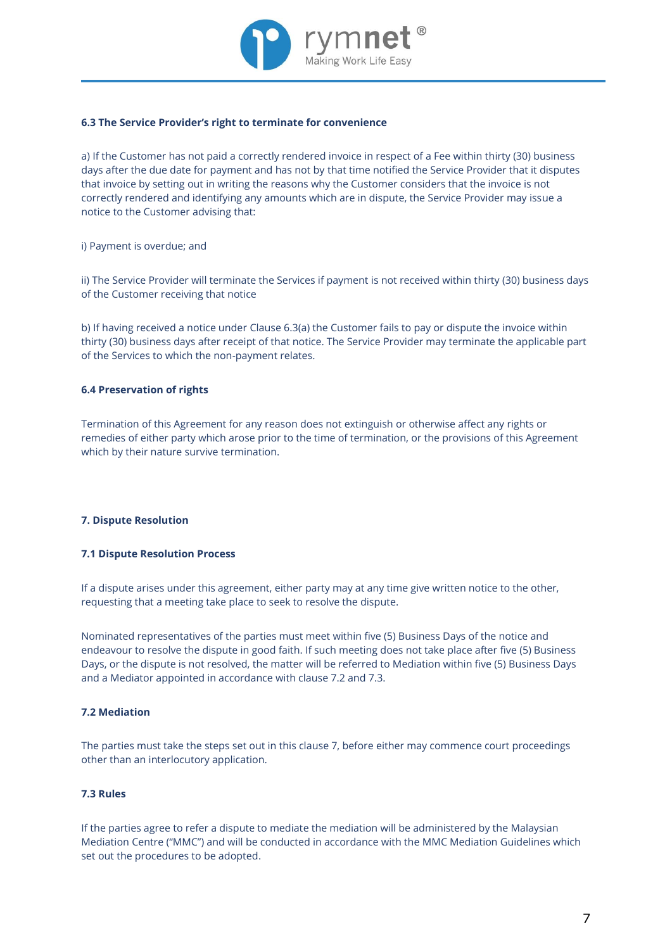

# **6.3 The Service Provider's right to terminate for convenience**

a) If the Customer has not paid a correctly rendered invoice in respect of a Fee within thirty (30) business days after the due date for payment and has not by that time notified the Service Provider that it disputes that invoice by setting out in writing the reasons why the Customer considers that the invoice is not correctly rendered and identifying any amounts which are in dispute, the Service Provider may issue a notice to the Customer advising that:

i) Payment is overdue; and

ii) The Service Provider will terminate the Services if payment is not received within thirty (30) business days of the Customer receiving that notice

b) If having received a notice under Clause 6.3(a) the Customer fails to pay or dispute the invoice within thirty (30) business days after receipt of that notice. The Service Provider may terminate the applicable part of the Services to which the non-payment relates.

# **6.4 Preservation of rights**

Termination of this Agreement for any reason does not extinguish or otherwise affect any rights or remedies of either party which arose prior to the time of termination, or the provisions of this Agreement which by their nature survive termination.

# **7. Dispute Resolution**

# **7.1 Dispute Resolution Process**

If a dispute arises under this agreement, either party may at any time give written notice to the other, requesting that a meeting take place to seek to resolve the dispute.

Nominated representatives of the parties must meet within five (5) Business Days of the notice and endeavour to resolve the dispute in good faith. If such meeting does not take place after five (5) Business Days, or the dispute is not resolved, the matter will be referred to Mediation within five (5) Business Days and a Mediator appointed in accordance with clause 7.2 and 7.3.

# **7.2 Mediation**

The parties must take the steps set out in this clause 7, before either may commence court proceedings other than an interlocutory application.

# **7.3 Rules**

If the parties agree to refer a dispute to mediate the mediation will be administered by the Malaysian Mediation Centre ("MMC") and will be conducted in accordance with the MMC Mediation Guidelines which set out the procedures to be adopted.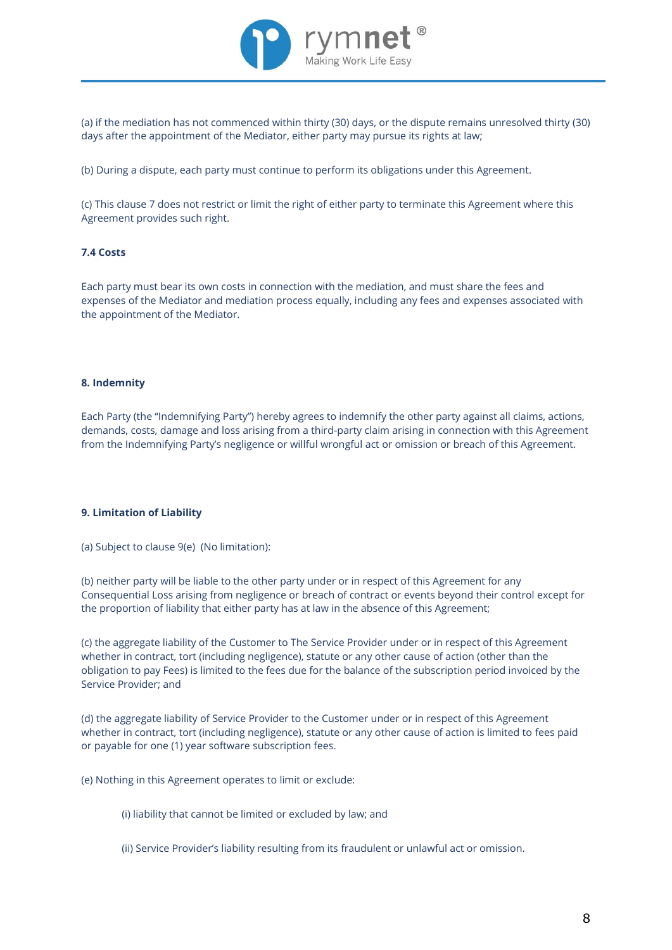

(a) if the mediation has not commenced within thirty (30) days, or the dispute remains unresolved thirty (30) days after the appointment of the Mediator, either party may pursue its rights at law;

(b) During a dispute, each party must continue to perform its obligations under this Agreement.

(c) This clause 7 does not restrict or limit the right of either party to terminate this Agreement where this Agreement provides such right.

# **7.4 Costs**

Each party must bear its own costs in connection with the mediation, and must share the fees and expenses of the Mediator and mediation process equally, including any fees and expenses associated with the appointment of the Mediator.

# **8. Indemnity**

Each Party (the "Indemnifying Party") hereby agrees to indemnify the other party against all claims, actions, demands, costs, damage and loss arising from a third-party claim arising in connection with this Agreement from the Indemnifying Party's negligence or willful wrongful act or omission or breach of this Agreement.

# **9. Limitation of Liability**

(a) Subject to clause 9(e) (No limitation):

(b) neither party will be liable to the other party under or in respect of this Agreement for any Consequential Loss arising from negligence or breach of contract or events beyond their control except for the proportion of liability that either party has at law in the absence of this Agreement;

(c) the aggregate liability of the Customer to The Service Provider under or in respect of this Agreement whether in contract, tort (including negligence), statute or any other cause of action (other than the obligation to pay Fees) is limited to the fees due for the balance of the subscription period invoiced by the Service Provider; and

(d) the aggregate liability of Service Provider to the Customer under or in respect of this Agreement whether in contract, tort (including negligence), statute or any other cause of action is limited to fees paid or payable for one (1) year software subscription fees.

(e) Nothing in this Agreement operates to limit or exclude:

(i) liability that cannot be limited or excluded by law; and

(ii) Service Provider's liability resulting from its fraudulent or unlawful act or omission.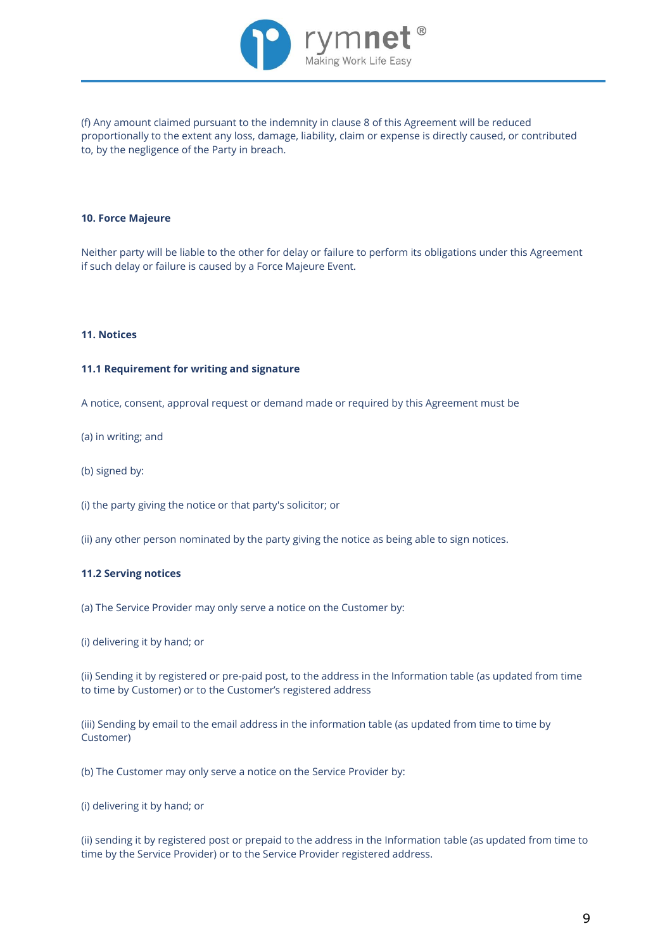

(f) Any amount claimed pursuant to the indemnity in clause 8 of this Agreement will be reduced proportionally to the extent any loss, damage, liability, claim or expense is directly caused, or contributed to, by the negligence of the Party in breach.

### **10. Force Majeure**

Neither party will be liable to the other for delay or failure to perform its obligations under this Agreement if such delay or failure is caused by a Force Majeure Event.

#### **11. Notices**

### **11.1 Requirement for writing and signature**

A notice, consent, approval request or demand made or required by this Agreement must be

(a) in writing; and

(b) signed by:

(i) the party giving the notice or that party's solicitor; or

(ii) any other person nominated by the party giving the notice as being able to sign notices.

#### **11.2 Serving notices**

(a) The Service Provider may only serve a notice on the Customer by:

(i) delivering it by hand; or

(ii) Sending it by registered or pre-paid post, to the address in the Information table (as updated from time to time by Customer) or to the Customer's registered address

(iii) Sending by email to the email address in the information table (as updated from time to time by Customer)

(b) The Customer may only serve a notice on the Service Provider by:

(i) delivering it by hand; or

(ii) sending it by registered post or prepaid to the address in the Information table (as updated from time to time by the Service Provider) or to the Service Provider registered address.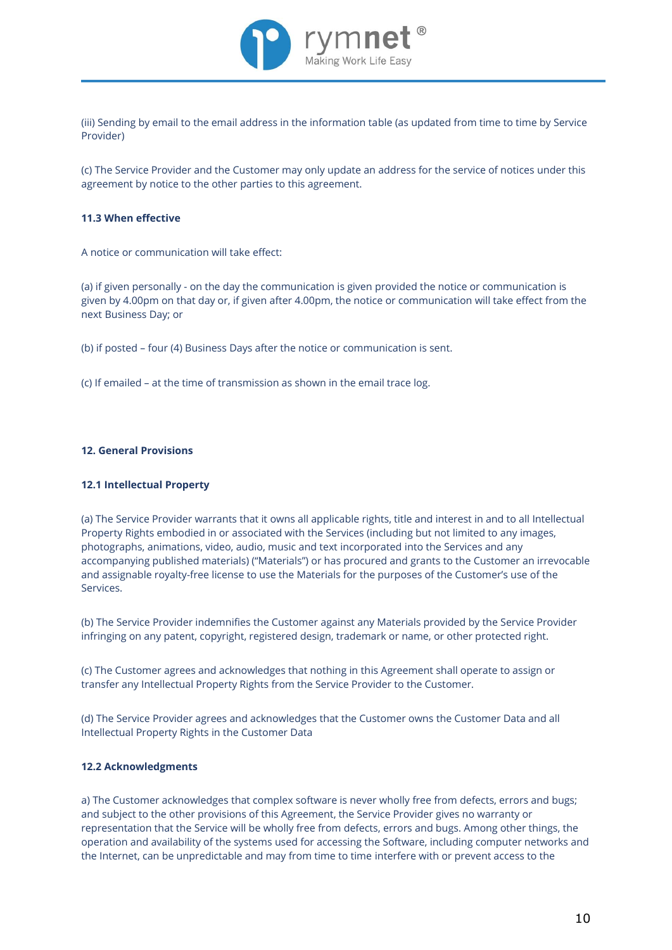

(iii) Sending by email to the email address in the information table (as updated from time to time by Service Provider)

(c) The Service Provider and the Customer may only update an address for the service of notices under this agreement by notice to the other parties to this agreement.

### **11.3 When effective**

A notice or communication will take effect:

(a) if given personally - on the day the communication is given provided the notice or communication is given by 4.00pm on that day or, if given after 4.00pm, the notice or communication will take effect from the next Business Day; or

(b) if posted – four (4) Business Days after the notice or communication is sent.

(c) If emailed – at the time of transmission as shown in the email trace log.

#### **12. General Provisions**

# **12.1 Intellectual Property**

(a) The Service Provider warrants that it owns all applicable rights, title and interest in and to all Intellectual Property Rights embodied in or associated with the Services (including but not limited to any images, photographs, animations, video, audio, music and text incorporated into the Services and any accompanying published materials) ("Materials") or has procured and grants to the Customer an irrevocable and assignable royalty-free license to use the Materials for the purposes of the Customer's use of the Services.

(b) The Service Provider indemnifies the Customer against any Materials provided by the Service Provider infringing on any patent, copyright, registered design, trademark or name, or other protected right.

(c) The Customer agrees and acknowledges that nothing in this Agreement shall operate to assign or transfer any Intellectual Property Rights from the Service Provider to the Customer.

(d) The Service Provider agrees and acknowledges that the Customer owns the Customer Data and all Intellectual Property Rights in the Customer Data

#### **12.2 Acknowledgments**

a) The Customer acknowledges that complex software is never wholly free from defects, errors and bugs; and subject to the other provisions of this Agreement, the Service Provider gives no warranty or representation that the Service will be wholly free from defects, errors and bugs. Among other things, the operation and availability of the systems used for accessing the Software, including computer networks and the Internet, can be unpredictable and may from time to time interfere with or prevent access to the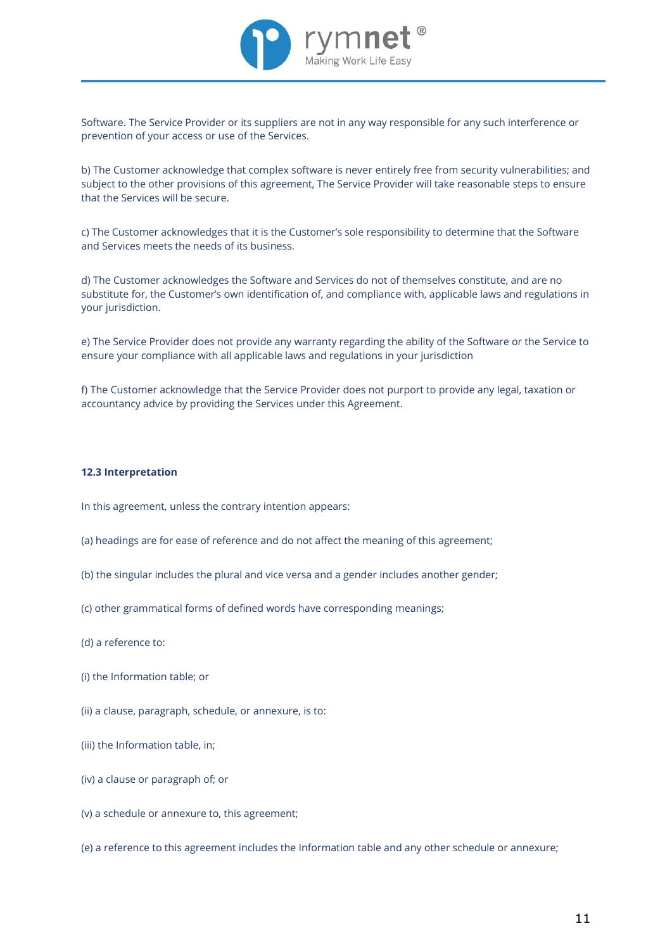

Software. The Service Provider or its suppliers are not in any way responsible for any such interference or prevention of your access or use of the Services.

b) The Customer acknowledge that complex software is never entirely free from security vulnerabilities; and subject to the other provisions of this agreement, The Service Provider will take reasonable steps to ensure that the Services will be secure.

c) The Customer acknowledges that it is the Customer's sole responsibility to determine that the Software and Services meets the needs of its business.

d) The Customer acknowledges the Software and Services do not of themselves constitute, and are no substitute for, the Customer's own identification of, and compliance with, applicable laws and regulations in your jurisdiction.

e) The Service Provider does not provide any warranty regarding the ability of the Software or the Service to ensure your compliance with all applicable laws and regulations in your jurisdiction

f) The Customer acknowledge that the Service Provider does not purport to provide any legal, taxation or accountancy advice by providing the Services under this Agreement.

### **12.3 Interpretation**

In this agreement, unless the contrary intention appears:

- (a) headings are for ease of reference and do not affect the meaning of this agreement;
- (b) the singular includes the plural and vice versa and a gender includes another gender;
- (c) other grammatical forms of defined words have corresponding meanings;
- (d) a reference to:
- (i) the Information table; or
- (ii) a clause, paragraph, schedule, or annexure, is to:
- (iii) the Information table, in;
- (iv) a clause or paragraph of; or
- (v) a schedule or annexure to, this agreement;
- (e) a reference to this agreement includes the Information table and any other schedule or annexure;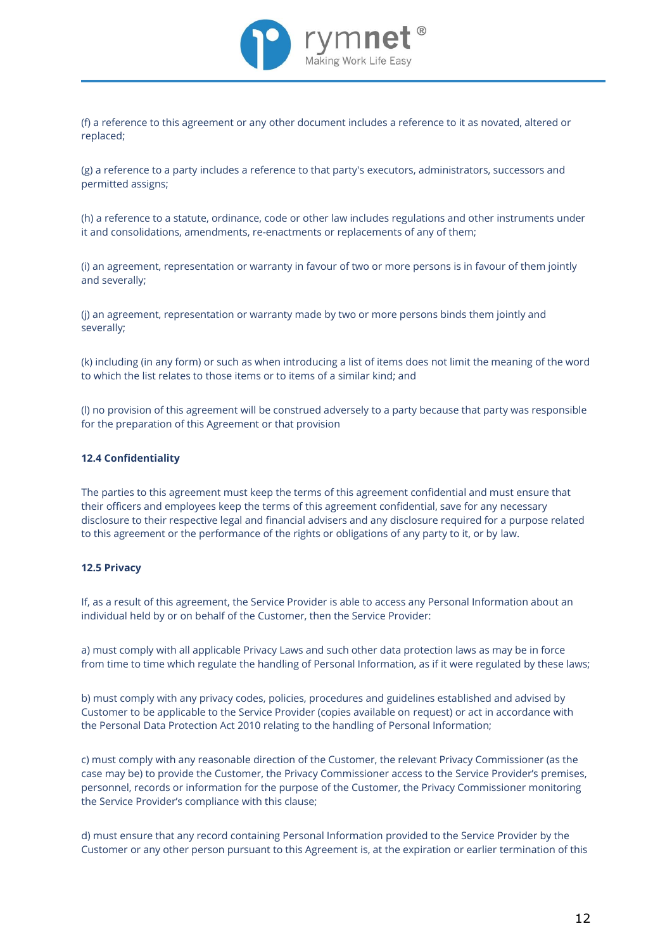

(f) a reference to this agreement or any other document includes a reference to it as novated, altered or replaced;

(g) a reference to a party includes a reference to that party's executors, administrators, successors and permitted assigns;

(h) a reference to a statute, ordinance, code or other law includes regulations and other instruments under it and consolidations, amendments, re-enactments or replacements of any of them;

(i) an agreement, representation or warranty in favour of two or more persons is in favour of them jointly and severally;

(j) an agreement, representation or warranty made by two or more persons binds them jointly and severally;

(k) including (in any form) or such as when introducing a list of items does not limit the meaning of the word to which the list relates to those items or to items of a similar kind; and

(l) no provision of this agreement will be construed adversely to a party because that party was responsible for the preparation of this Agreement or that provision

# **12.4 Confidentiality**

The parties to this agreement must keep the terms of this agreement confidential and must ensure that their officers and employees keep the terms of this agreement confidential, save for any necessary disclosure to their respective legal and financial advisers and any disclosure required for a purpose related to this agreement or the performance of the rights or obligations of any party to it, or by law.

#### **12.5 Privacy**

If, as a result of this agreement, the Service Provider is able to access any Personal Information about an individual held by or on behalf of the Customer, then the Service Provider:

a) must comply with all applicable Privacy Laws and such other data protection laws as may be in force from time to time which regulate the handling of Personal Information, as if it were regulated by these laws;

b) must comply with any privacy codes, policies, procedures and guidelines established and advised by Customer to be applicable to the Service Provider (copies available on request) or act in accordance with the Personal Data Protection Act 2010 relating to the handling of Personal Information;

c) must comply with any reasonable direction of the Customer, the relevant Privacy Commissioner (as the case may be) to provide the Customer, the Privacy Commissioner access to the Service Provider's premises, personnel, records or information for the purpose of the Customer, the Privacy Commissioner monitoring the Service Provider's compliance with this clause;

d) must ensure that any record containing Personal Information provided to the Service Provider by the Customer or any other person pursuant to this Agreement is, at the expiration or earlier termination of this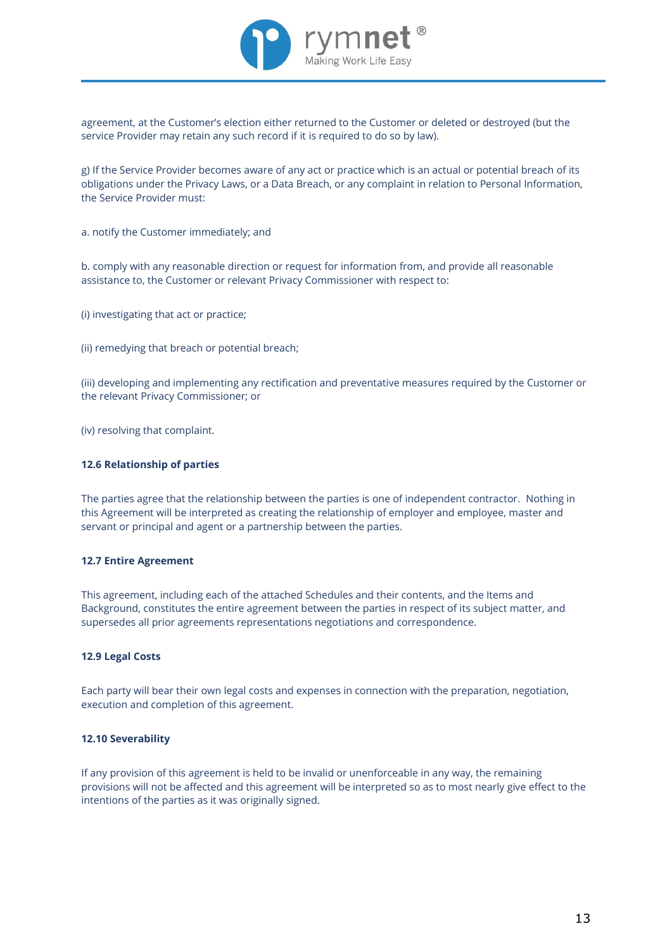

agreement, at the Customer's election either returned to the Customer or deleted or destroyed (but the service Provider may retain any such record if it is required to do so by law).

g) If the Service Provider becomes aware of any act or practice which is an actual or potential breach of its obligations under the Privacy Laws, or a Data Breach, or any complaint in relation to Personal Information, the Service Provider must:

a. notify the Customer immediately; and

b. comply with any reasonable direction or request for information from, and provide all reasonable assistance to, the Customer or relevant Privacy Commissioner with respect to:

(i) investigating that act or practice;

(ii) remedying that breach or potential breach;

(iii) developing and implementing any rectification and preventative measures required by the Customer or the relevant Privacy Commissioner; or

(iv) resolving that complaint.

# **12.6 Relationship of parties**

The parties agree that the relationship between the parties is one of independent contractor. Nothing in this Agreement will be interpreted as creating the relationship of employer and employee, master and servant or principal and agent or a partnership between the parties.

### **12.7 Entire Agreement**

This agreement, including each of the attached Schedules and their contents, and the Items and Background, constitutes the entire agreement between the parties in respect of its subject matter, and supersedes all prior agreements representations negotiations and correspondence.

#### **12.9 Legal Costs**

Each party will bear their own legal costs and expenses in connection with the preparation, negotiation, execution and completion of this agreement.

# **12.10 Severability**

If any provision of this agreement is held to be invalid or unenforceable in any way, the remaining provisions will not be affected and this agreement will be interpreted so as to most nearly give effect to the intentions of the parties as it was originally signed.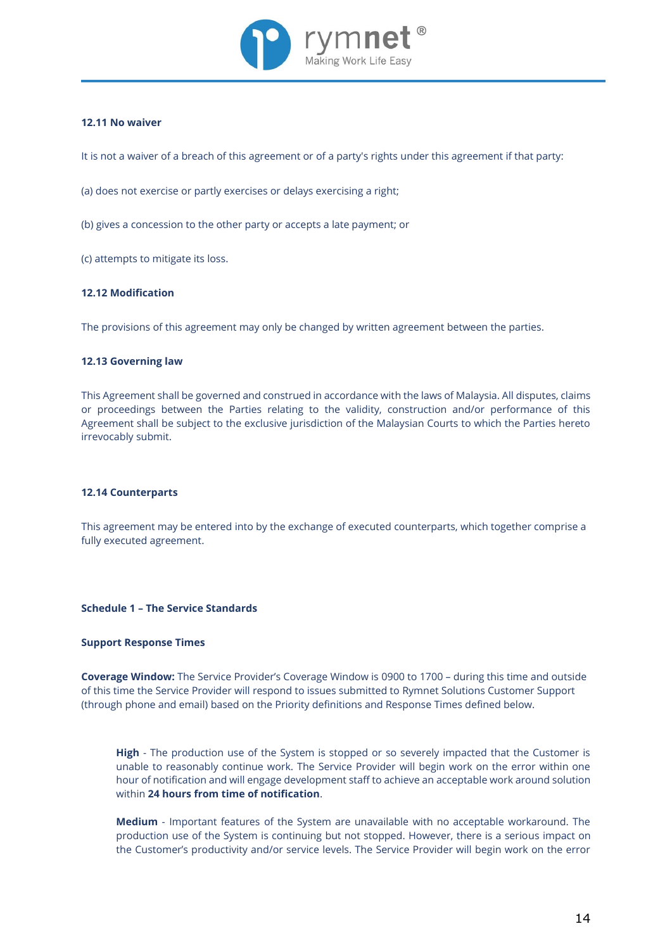

# **12.11 No waiver**

It is not a waiver of a breach of this agreement or of a party's rights under this agreement if that party:

(a) does not exercise or partly exercises or delays exercising a right;

(b) gives a concession to the other party or accepts a late payment; or

(c) attempts to mitigate its loss.

# **12.12 Modification**

The provisions of this agreement may only be changed by written agreement between the parties.

#### **12.13 Governing law**

This Agreement shall be governed and construed in accordance with the laws of Malaysia. All disputes, claims or proceedings between the Parties relating to the validity, construction and/or performance of this Agreement shall be subject to the exclusive jurisdiction of the Malaysian Courts to which the Parties hereto irrevocably submit.

# **12.14 Counterparts**

This agreement may be entered into by the exchange of executed counterparts, which together comprise a fully executed agreement.

#### **Schedule 1 – The Service Standards**

#### **Support Response Times**

**Coverage Window:** The Service Provider's Coverage Window is 0900 to 1700 – during this time and outside of this time the Service Provider will respond to issues submitted to Rymnet Solutions Customer Support (through phone and email) based on the Priority definitions and Response Times defined below.

**High** - The production use of the System is stopped or so severely impacted that the Customer is unable to reasonably continue work. The Service Provider will begin work on the error within one hour of notification and will engage development staff to achieve an acceptable work around solution within **24 hours from time of notification**.

**Medium** - Important features of the System are unavailable with no acceptable workaround. The production use of the System is continuing but not stopped. However, there is a serious impact on the Customer's productivity and/or service levels. The Service Provider will begin work on the error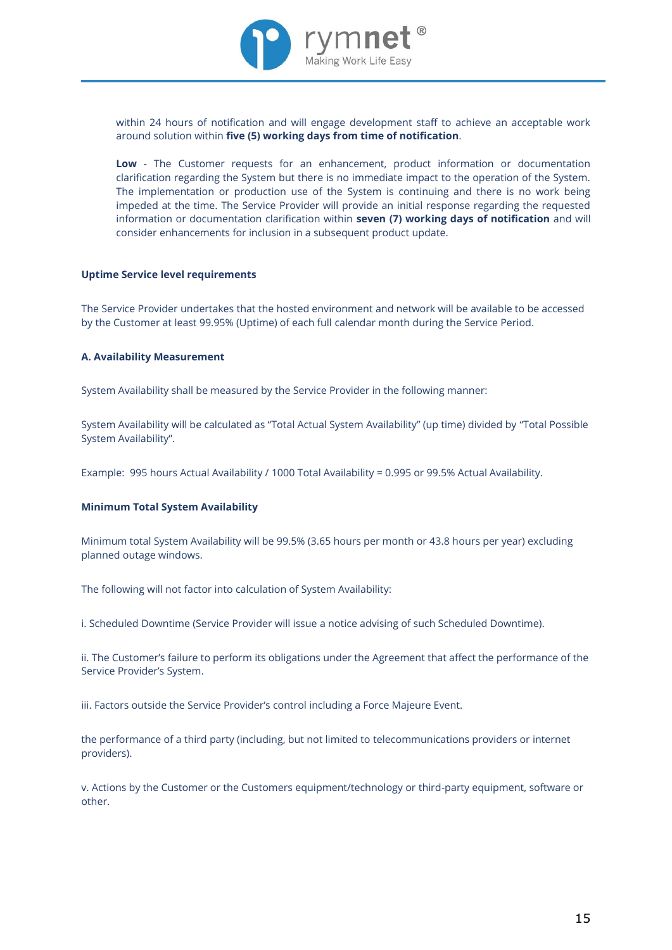

within 24 hours of notification and will engage development staff to achieve an acceptable work around solution within **five (5) working days from time of notification**.

**Low** - The Customer requests for an enhancement, product information or documentation clarification regarding the System but there is no immediate impact to the operation of the System. The implementation or production use of the System is continuing and there is no work being impeded at the time. The Service Provider will provide an initial response regarding the requested information or documentation clarification within **seven (7) working days of notification** and will consider enhancements for inclusion in a subsequent product update.

#### **Uptime Service level requirements**

The Service Provider undertakes that the hosted environment and network will be available to be accessed by the Customer at least 99.95% (Uptime) of each full calendar month during the Service Period.

#### **A. Availability Measurement**

System Availability shall be measured by the Service Provider in the following manner:

System Availability will be calculated as "Total Actual System Availability" (up time) divided by "Total Possible System Availability".

Example: 995 hours Actual Availability / 1000 Total Availability = 0.995 or 99.5% Actual Availability.

#### **Minimum Total System Availability**

Minimum total System Availability will be 99.5% (3.65 hours per month or 43.8 hours per year) excluding planned outage windows.

The following will not factor into calculation of System Availability:

i. Scheduled Downtime (Service Provider will issue a notice advising of such Scheduled Downtime).

ii. The Customer's failure to perform its obligations under the Agreement that affect the performance of the Service Provider's System.

iii. Factors outside the Service Provider's control including a Force Majeure Event.

the performance of a third party (including, but not limited to telecommunications providers or internet providers).

v. Actions by the Customer or the Customers equipment/technology or third-party equipment, software or other.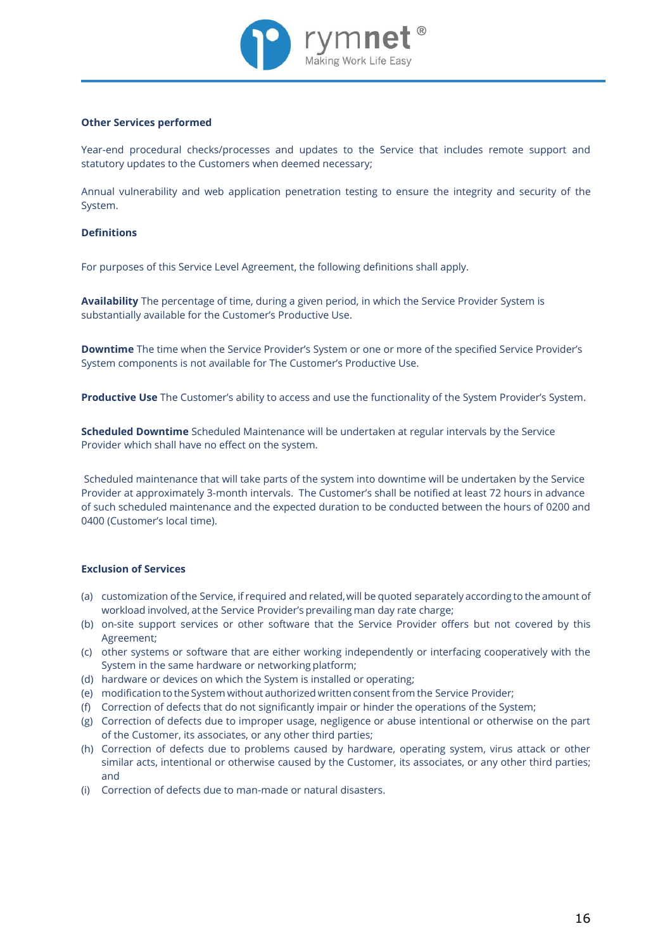

# **Other Services performed**

Year-end procedural checks/processes and updates to the Service that includes remote support and statutory updates to the Customers when deemed necessary;

Annual vulnerability and web application penetration testing to ensure the integrity and security of the System.

# **Definitions**

For purposes of this Service Level Agreement, the following definitions shall apply.

**Availability** The percentage of time, during a given period, in which the Service Provider System is substantially available for the Customer's Productive Use.

**Downtime** The time when the Service Provider's System or one or more of the specified Service Provider's System components is not available for The Customer's Productive Use.

**Productive Use** The Customer's ability to access and use the functionality of the System Provider's System.

**Scheduled Downtime** Scheduled Maintenance will be undertaken at regular intervals by the Service Provider which shall have no effect on the system.

Scheduled maintenance that will take parts of the system into downtime will be undertaken by the Service Provider at approximately 3-month intervals. The Customer's shall be notified at least 72 hours in advance of such scheduled maintenance and the expected duration to be conducted between the hours of 0200 and 0400 (Customer's local time).

# **Exclusion of Services**

- (a) customization of the Service, if required and related, will be quoted separately according to the amount of workload involved, at the Service Provider's prevailing man day rate charge;
- (b) on-site support services or other software that the Service Provider offers but not covered by this Agreement;
- (c) other systems or software that are either working independently or interfacing cooperatively with the System in the same hardware or networking platform;
- (d) hardware or devices on which the System is installed or operating;
- (e) modification to the System without authorized written consent from the Service Provider;
- (f) Correction of defects that do not significantly impair or hinder the operations of the System;
- (g) Correction of defects due to improper usage, negligence or abuse intentional or otherwise on the part of the Customer, its associates, or any other third parties;
- (h) Correction of defects due to problems caused by hardware, operating system, virus attack or other similar acts, intentional or otherwise caused by the Customer, its associates, or any other third parties; and
- (i) Correction of defects due to man-made or natural disasters.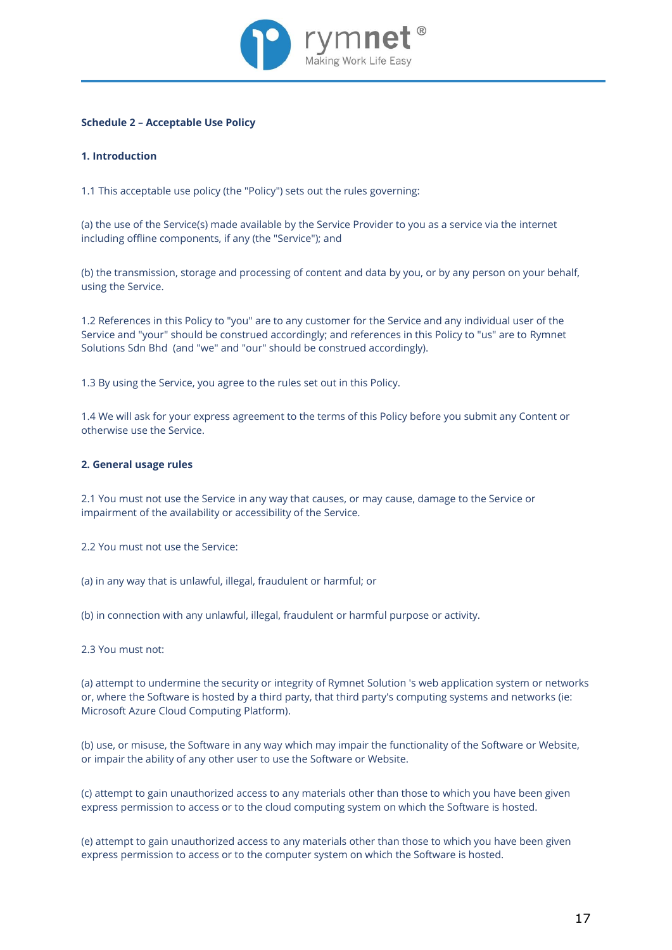

# **Schedule 2 – Acceptable Use Policy**

# **1. Introduction**

1.1 This acceptable use policy (the "Policy") sets out the rules governing:

(a) the use of the Service(s) made available by the Service Provider to you as a service via the internet including offline components, if any (the "Service"); and

(b) the transmission, storage and processing of content and data by you, or by any person on your behalf, using the Service.

1.2 References in this Policy to "you" are to any customer for the Service and any individual user of the Service and "your" should be construed accordingly; and references in this Policy to "us" are to Rymnet Solutions Sdn Bhd (and "we" and "our" should be construed accordingly).

1.3 By using the Service, you agree to the rules set out in this Policy.

1.4 We will ask for your express agreement to the terms of this Policy before you submit any Content or otherwise use the Service.

# **2. General usage rules**

2.1 You must not use the Service in any way that causes, or may cause, damage to the Service or impairment of the availability or accessibility of the Service.

2.2 You must not use the Service:

(a) in any way that is unlawful, illegal, fraudulent or harmful; or

(b) in connection with any unlawful, illegal, fraudulent or harmful purpose or activity.

2.3 You must not:

(a) attempt to undermine the security or integrity of Rymnet Solution 's web application system or networks or, where the Software is hosted by a third party, that third party's computing systems and networks (ie: Microsoft Azure Cloud Computing Platform).

(b) use, or misuse, the Software in any way which may impair the functionality of the Software or Website, or impair the ability of any other user to use the Software or Website.

(c) attempt to gain unauthorized access to any materials other than those to which you have been given express permission to access or to the cloud computing system on which the Software is hosted.

(e) attempt to gain unauthorized access to any materials other than those to which you have been given express permission to access or to the computer system on which the Software is hosted.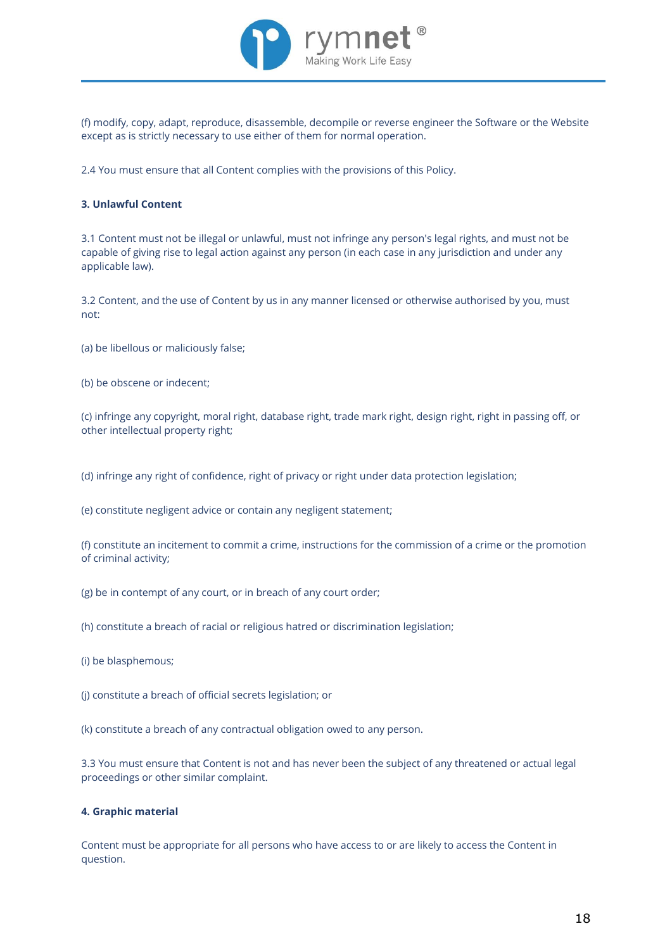

(f) modify, copy, adapt, reproduce, disassemble, decompile or reverse engineer the Software or the Website except as is strictly necessary to use either of them for normal operation.

2.4 You must ensure that all Content complies with the provisions of this Policy.

# **3. Unlawful Content**

3.1 Content must not be illegal or unlawful, must not infringe any person's legal rights, and must not be capable of giving rise to legal action against any person (in each case in any jurisdiction and under any applicable law).

3.2 Content, and the use of Content by us in any manner licensed or otherwise authorised by you, must not:

- (a) be libellous or maliciously false;
- (b) be obscene or indecent;

(c) infringe any copyright, moral right, database right, trade mark right, design right, right in passing off, or other intellectual property right;

(d) infringe any right of confidence, right of privacy or right under data protection legislation;

(e) constitute negligent advice or contain any negligent statement;

(f) constitute an incitement to commit a crime, instructions for the commission of a crime or the promotion of criminal activity;

(g) be in contempt of any court, or in breach of any court order;

(h) constitute a breach of racial or religious hatred or discrimination legislation;

(i) be blasphemous;

(j) constitute a breach of official secrets legislation; or

(k) constitute a breach of any contractual obligation owed to any person.

3.3 You must ensure that Content is not and has never been the subject of any threatened or actual legal proceedings or other similar complaint.

# **4. Graphic material**

Content must be appropriate for all persons who have access to or are likely to access the Content in question.